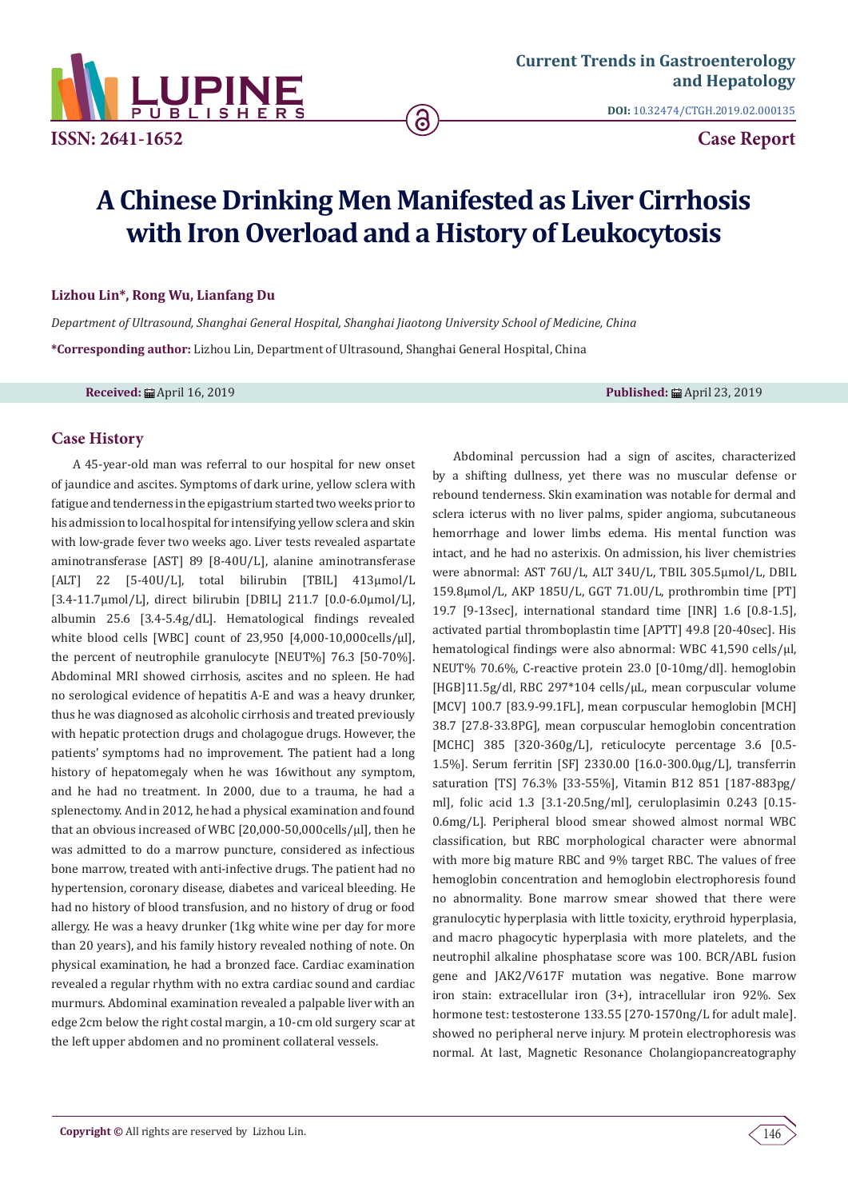

**ISSN: 2641-1652**

**DOI:** [10.32474/CTGH.2019.02.000135](http://dx.doi.org/10.32474/CTGH.2019.02.000135)

**Case Report**

# **A Chinese Drinking Men Manifested as Liver Cirrhosis with Iron Overload and a History of Leukocytosis**

6

#### **Lizhou Lin\*, Rong Wu, Lianfang Du**

*Department of Ultrasound, Shanghai General Hospital, Shanghai Jiaotong University School of Medicine, China* **\*Corresponding author:** Lizhou Lin, Department of Ultrasound, Shanghai General Hospital, China

**Received:** April 16, 2019 **Published:** April 23, 2019

# **Case History**

A 45-year-old man was referral to our hospital for new onset of jaundice and ascites. Symptoms of dark urine, yellow sclera with fatigue and tenderness in the epigastrium started two weeks prior to his admission to local hospital for intensifying yellow sclera and skin with low-grade fever two weeks ago. Liver tests revealed aspartate aminotransferase [AST] 89 [8-40U/L], alanine aminotransferase [ALT] 22 [5-40U/L], total bilirubin [TBIL] 413μmol/L [3.4-11.7μmol/L], direct bilirubin [DBIL] 211.7 [0.0-6.0μmol/L], albumin 25.6 [3.4-5.4g/dL]. Hematological findings revealed white blood cells [WBC] count of 23,950 [4,000-10,000cells/μl], the percent of neutrophile granulocyte [NEUT%] 76.3 [50-70%]. Abdominal MRI showed cirrhosis, ascites and no spleen. He had no serological evidence of hepatitis A-E and was a heavy drunker, thus he was diagnosed as alcoholic cirrhosis and treated previously with hepatic protection drugs and cholagogue drugs. However, the patients' symptoms had no improvement. The patient had a long history of hepatomegaly when he was 16without any symptom, and he had no treatment. In 2000, due to a trauma, he had a splenectomy. And in 2012, he had a physical examination and found that an obvious increased of WBC [20,000-50,000cells/μl], then he was admitted to do a marrow puncture, considered as infectious bone marrow, treated with anti-infective drugs. The patient had no hypertension, coronary disease, diabetes and variceal bleeding. He had no history of blood transfusion, and no history of drug or food allergy. He was a heavy drunker (1kg white wine per day for more than 20 years), and his family history revealed nothing of note. On physical examination, he had a bronzed face. Cardiac examination revealed a regular rhythm with no extra cardiac sound and cardiac murmurs. Abdominal examination revealed a palpable liver with an edge 2cm below the right costal margin, a 10-cm old surgery scar at the left upper abdomen and no prominent collateral vessels.

Abdominal percussion had a sign of ascites, characterized by a shifting dullness, yet there was no muscular defense or rebound tenderness. Skin examination was notable for dermal and sclera icterus with no liver palms, spider angioma, subcutaneous hemorrhage and lower limbs edema. His mental function was intact, and he had no asterixis. On admission, his liver chemistries were abnormal: AST 76U/L, ALT 34U/L, TBIL 305.5μmol/L, DBIL 159.8μmol/L, AKP 185U/L, GGT 71.0U/L, prothrombin time [PT] 19.7 [9-13sec], international standard time [INR] 1.6 [0.8-1.5], activated partial thromboplastin time [APTT] 49.8 [20-40sec]. His hematological findings were also abnormal: WBC 41,590 cells/μl, NEUT% 70.6%, C-reactive protein 23.0 [0-10mg/dl]. hemoglobin [HGB]11.5g/dl, RBC 297\*104 cells/μL, mean corpuscular volume [MCV] 100.7 [83.9-99.1FL], mean corpuscular hemoglobin [MCH] 38.7 [27.8-33.8PG], mean corpuscular hemoglobin concentration [MCHC] 385 [320-360g/L], reticulocyte percentage 3.6 [0.5- 1.5%]. Serum ferritin [SF] 2330.00 [16.0-300.0μg/L], transferrin saturation [TS] 76.3% [33-55%], Vitamin B12 851 [187-883pg/ ml], folic acid 1.3 [3.1-20.5ng/ml], ceruloplasimin 0.243 [0.15- 0.6mg/L]. Peripheral blood smear showed almost normal WBC classification, but RBC morphological character were abnormal with more big mature RBC and 9% target RBC. The values of free hemoglobin concentration and hemoglobin electrophoresis found no abnormality. Bone marrow smear showed that there were granulocytic hyperplasia with little toxicity, erythroid hyperplasia, and macro phagocytic hyperplasia with more platelets, and the neutrophil alkaline phosphatase score was 100. BCR/ABL fusion gene and JAK2/V617F mutation was negative. Bone marrow iron stain: extracellular iron (3+), intracellular iron 92%. Sex hormone test: testosterone 133.55 [270-1570ng/L for adult male]. showed no peripheral nerve injury. M protein electrophoresis was normal. At last, Magnetic Resonance Cholangiopancreatography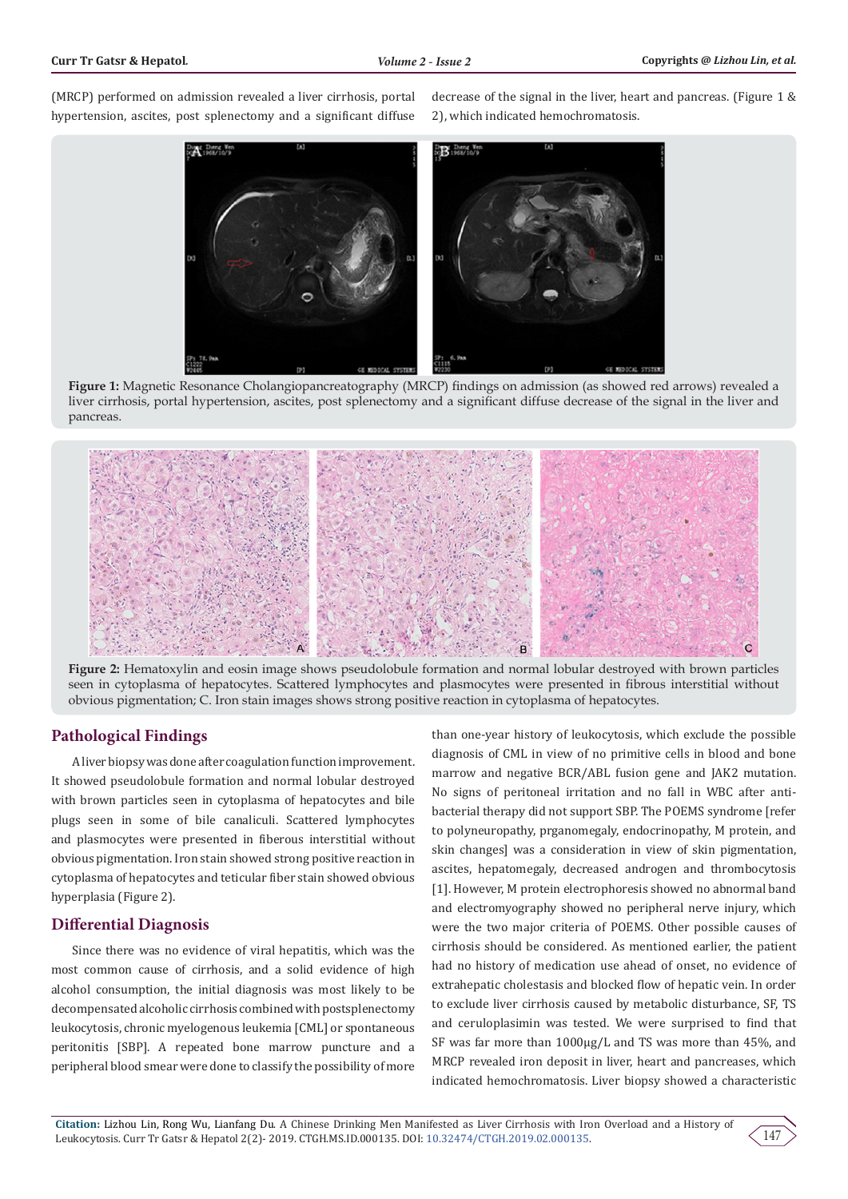(MRCP) performed on admission revealed a liver cirrhosis, portal hypertension, ascites, post splenectomy and a significant diffuse

decrease of the signal in the liver, heart and pancreas. (Figure 1 & 2), which indicated hemochromatosis.



**Figure 1:** Magnetic Resonance Cholangiopancreatography (MRCP) findings on admission (as showed red arrows) revealed a liver cirrhosis, portal hypertension, ascites, post splenectomy and a significant diffuse decrease of the signal in the liver and pancreas.



**Figure 2:** Hematoxylin and eosin image shows pseudolobule formation and normal lobular destroyed with brown particles seen in cytoplasma of hepatocytes. Scattered lymphocytes and plasmocytes were presented in fibrous interstitial without obvious pigmentation; C. Iron stain images shows strong positive reaction in cytoplasma of hepatocytes.

### **Pathological Findings**

A liver biopsy was done after coagulation function improvement. It showed pseudolobule formation and normal lobular destroyed with brown particles seen in cytoplasma of hepatocytes and bile plugs seen in some of bile canaliculi. Scattered lymphocytes and plasmocytes were presented in fiberous interstitial without obvious pigmentation. Iron stain showed strong positive reaction in cytoplasma of hepatocytes and teticular fiber stain showed obvious hyperplasia (Figure 2).

## **Differential Diagnosis**

Since there was no evidence of viral hepatitis, which was the most common cause of cirrhosis, and a solid evidence of high alcohol consumption, the initial diagnosis was most likely to be decompensated alcoholic cirrhosis combined with postsplenectomy leukocytosis, chronic myelogenous leukemia [CML] or spontaneous peritonitis [SBP]. A repeated bone marrow puncture and a peripheral blood smear were done to classify the possibility of more

than one-year history of leukocytosis, which exclude the possible diagnosis of CML in view of no primitive cells in blood and bone marrow and negative BCR/ABL fusion gene and JAK2 mutation. No signs of peritoneal irritation and no fall in WBC after antibacterial therapy did not support SBP. The POEMS syndrome [refer to polyneuropathy, prganomegaly, endocrinopathy, M protein, and skin changes] was a consideration in view of skin pigmentation, ascites, hepatomegaly, decreased androgen and thrombocytosis [1]. However, M protein electrophoresis showed no abnormal band and electromyography showed no peripheral nerve injury, which were the two major criteria of POEMS. Other possible causes of cirrhosis should be considered. As mentioned earlier, the patient had no history of medication use ahead of onset, no evidence of extrahepatic cholestasis and blocked flow of hepatic vein. In order to exclude liver cirrhosis caused by metabolic disturbance, SF, TS and ceruloplasimin was tested. We were surprised to find that SF was far more than 1000μg/L and TS was more than 45%, and MRCP revealed iron deposit in liver, heart and pancreases, which indicated hemochromatosis. Liver biopsy showed a characteristic

 $14'$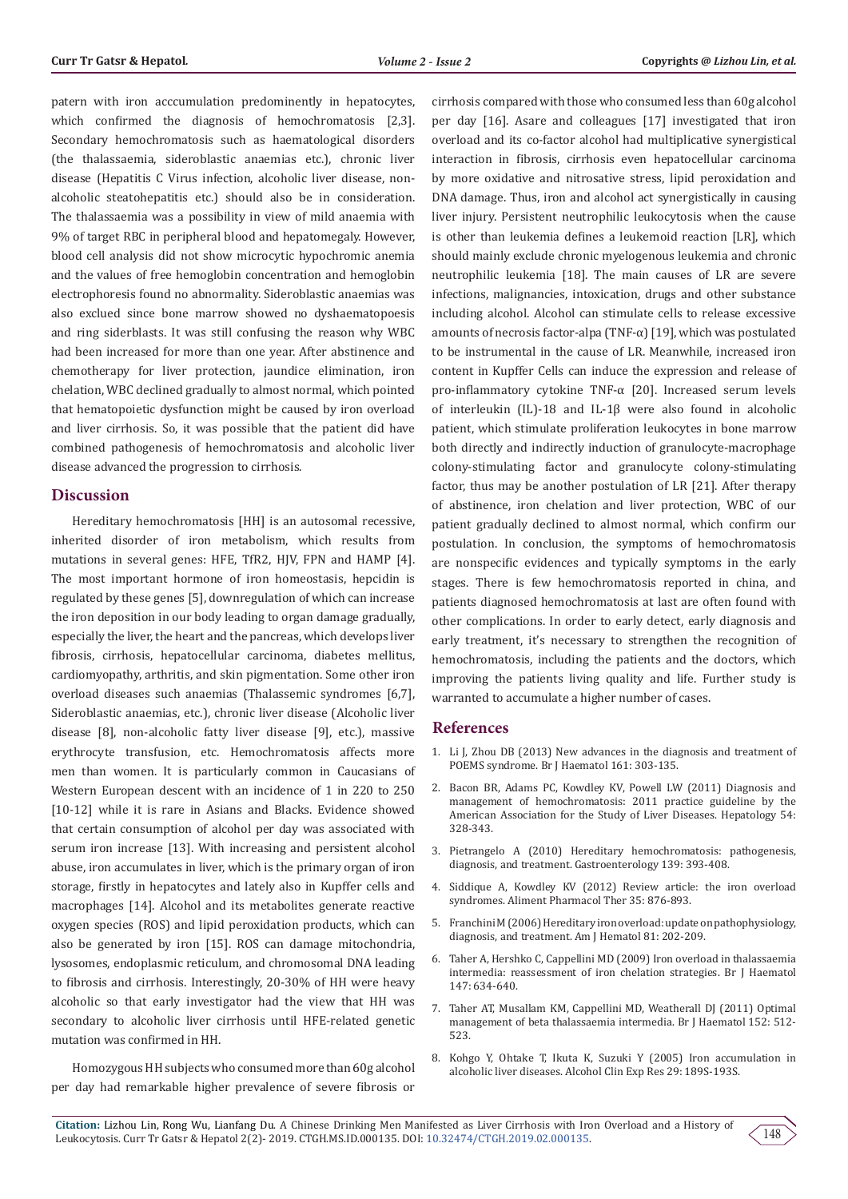patern with iron acccumulation predominently in hepatocytes, which confirmed the diagnosis of hemochromatosis [2,3]. Secondary hemochromatosis such as haematological disorders (the thalassaemia, sideroblastic anaemias etc.), chronic liver disease (Hepatitis C Virus infection, alcoholic liver disease, nonalcoholic steatohepatitis etc.) should also be in consideration. The thalassaemia was a possibility in view of mild anaemia with 9% of target RBC in peripheral blood and hepatomegaly. However, blood cell analysis did not show microcytic hypochromic anemia and the values of free hemoglobin concentration and hemoglobin electrophoresis found no abnormality. Sideroblastic anaemias was also exclued since bone marrow showed no dyshaematopoesis and ring siderblasts. It was still confusing the reason why WBC had been increased for more than one year. After abstinence and chemotherapy for liver protection, jaundice elimination, iron chelation, WBC declined gradually to almost normal, which pointed that hematopoietic dysfunction might be caused by iron overload and liver cirrhosis. So, it was possible that the patient did have combined pathogenesis of hemochromatosis and alcoholic liver disease advanced the progression to cirrhosis.

#### **Discussion**

Hereditary hemochromatosis [HH] is an autosomal recessive, inherited disorder of iron metabolism, which results from mutations in several genes: HFE, TfR2, HJV, FPN and HAMP [4]. The most important hormone of iron homeostasis, hepcidin is regulated by these genes [5], downregulation of which can increase the iron deposition in our body leading to organ damage gradually, especially the liver, the heart and the pancreas, which develops liver fibrosis, cirrhosis, hepatocellular carcinoma, diabetes mellitus, cardiomyopathy, arthritis, and skin pigmentation. Some other iron overload diseases such anaemias (Thalassemic syndromes [6,7], Sideroblastic anaemias, etc.), chronic liver disease (Alcoholic liver disease [8], non-alcoholic fatty liver disease [9], etc.), massive erythrocyte transfusion, etc. Hemochromatosis affects more men than women. It is particularly common in Caucasians of Western European descent with an incidence of 1 in 220 to 250 [10-12] while it is rare in Asians and Blacks. Evidence showed that certain consumption of alcohol per day was associated with serum iron increase [13]. With increasing and persistent alcohol abuse, iron accumulates in liver, which is the primary organ of iron storage, firstly in hepatocytes and lately also in Kupffer cells and macrophages [14]. Alcohol and its metabolites generate reactive oxygen species (ROS) and lipid peroxidation products, which can also be generated by iron [15]. ROS can damage mitochondria, lysosomes, endoplasmic reticulum, and chromosomal DNA leading to fibrosis and cirrhosis. Interestingly, 20-30% of HH were heavy alcoholic so that early investigator had the view that HH was secondary to alcoholic liver cirrhosis until HFE-related genetic mutation was confirmed in HH.

Homozygous HH subjects who consumed more than 60g alcohol per day had remarkable higher prevalence of severe fibrosis or cirrhosis compared with those who consumed less than 60g alcohol per day [16]. Asare and colleagues [17] investigated that iron overload and its co-factor alcohol had multiplicative synergistical interaction in fibrosis, cirrhosis even hepatocellular carcinoma by more oxidative and nitrosative stress, lipid peroxidation and DNA damage. Thus, iron and alcohol act synergistically in causing liver injury. Persistent neutrophilic leukocytosis when the cause is other than leukemia defines a leukemoid reaction [LR], which should mainly exclude chronic myelogenous leukemia and chronic neutrophilic leukemia [18]. The main causes of LR are severe infections, malignancies, intoxication, drugs and other substance including alcohol. Alcohol can stimulate cells to release excessive amounts of necrosis factor-alpa (TNF- $\alpha$ ) [19], which was postulated to be instrumental in the cause of LR. Meanwhile, increased iron content in Kupffer Cells can induce the expression and release of pro-inflammatory cytokine TNF-α [20]. Increased serum levels of interleukin (IL)-18 and IL-1β were also found in alcoholic patient, which stimulate proliferation leukocytes in bone marrow both directly and indirectly induction of granulocyte-macrophage colony-stimulating factor and granulocyte colony-stimulating factor, thus may be another postulation of LR [21]. After therapy of abstinence, iron chelation and liver protection, WBC of our patient gradually declined to almost normal, which confirm our postulation. In conclusion, the symptoms of hemochromatosis are nonspecific evidences and typically symptoms in the early stages. There is few hemochromatosis reported in china, and patients diagnosed hemochromatosis at last are often found with other complications. In order to early detect, early diagnosis and early treatment, it's necessary to strengthen the recognition of hemochromatosis, including the patients and the doctors, which improving the patients living quality and life. Further study is warranted to accumulate a higher number of cases.

#### **References**

- 1. [Li J, Zhou DB \(2013\) New advances in the diagnosis and treatment of](https://www.ncbi.nlm.nih.gov/pubmed/23398538) [POEMS syndrome. Br J Haematol 161: 303-135.](https://www.ncbi.nlm.nih.gov/pubmed/23398538)
- 2. [Bacon BR, Adams PC, Kowdley KV, Powell LW \(2011\) Diagnosis and](https://www.ncbi.nlm.nih.gov/pubmed/21452290) [management of hemochromatosis: 2011 practice guideline by the](https://www.ncbi.nlm.nih.gov/pubmed/21452290) [American Association for the Study of Liver Diseases. Hepatology 54:](https://www.ncbi.nlm.nih.gov/pubmed/21452290) [328-343.](https://www.ncbi.nlm.nih.gov/pubmed/21452290)
- 3. [Pietrangelo A \(2010\) Hereditary hemochromatosis: pathogenesis,](https://www.ncbi.nlm.nih.gov/pubmed/20542038) [diagnosis, and treatment. Gastroenterology 139: 393-408.](https://www.ncbi.nlm.nih.gov/pubmed/20542038)
- 4. [Siddique A, Kowdley KV \(2012\) Review article: the iron overload](https://www.ncbi.nlm.nih.gov/pubmed/22385471) [syndromes. Aliment Pharmacol Ther 35: 876-893.](https://www.ncbi.nlm.nih.gov/pubmed/22385471)
- 5. [Franchini M \(2006\) Hereditary iron overload: update on pathophysiology,](https://www.ncbi.nlm.nih.gov/pubmed/16493621) [diagnosis, and treatment. Am J Hematol 81: 202-209.](https://www.ncbi.nlm.nih.gov/pubmed/16493621)
- 6. [Taher A, Hershko C, Cappellini MD \(2009\) Iron overload in thalassaemia](https://www.ncbi.nlm.nih.gov/pubmed/19681884) [intermedia: reassessment of iron chelation strategies. Br J Haematol](https://www.ncbi.nlm.nih.gov/pubmed/19681884) [147: 634-640.](https://www.ncbi.nlm.nih.gov/pubmed/19681884)
- 7. [Taher AT, Musallam KM, Cappellini MD, Weatherall DJ \(2011\) Optimal](https://www.ncbi.nlm.nih.gov/pubmed/21250971) [management of beta thalassaemia intermedia. Br J Haematol 152: 512-](https://www.ncbi.nlm.nih.gov/pubmed/21250971) [523.](https://www.ncbi.nlm.nih.gov/pubmed/21250971)
- 8. [Kohgo Y, Ohtake T, Ikuta K, Suzuki Y \(2005\) Iron accumulation in](https://www.ncbi.nlm.nih.gov/pubmed/16344607) [alcoholic liver diseases. Alcohol Clin Exp Res 29: 189S-193S.](https://www.ncbi.nlm.nih.gov/pubmed/16344607)

148